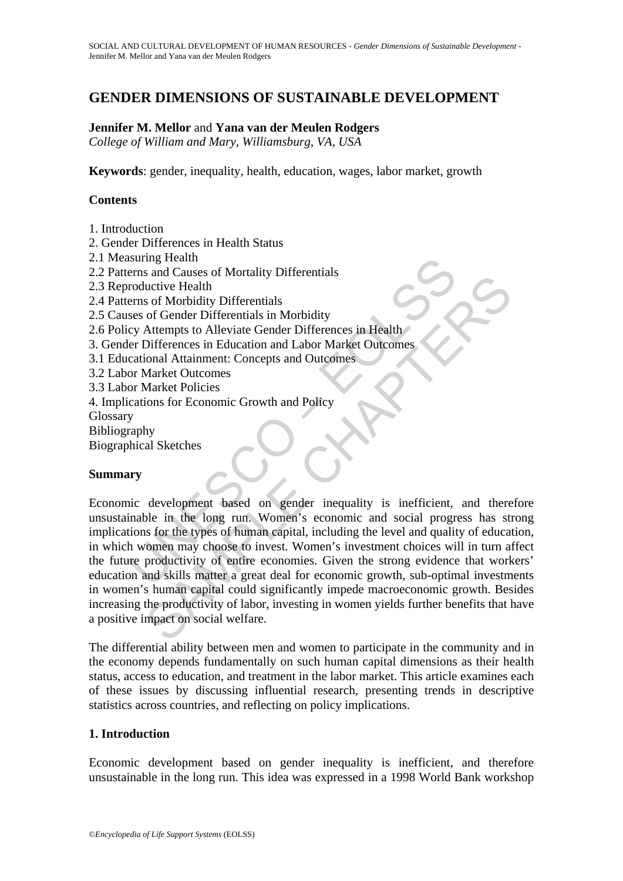# **GENDER DIMENSIONS OF SUSTAINABLE DEVELOPMENT**

### **Jennifer M. Mellor** and **Yana van der Meulen Rodgers**

*College of William and Mary, Williamsburg, VA, USA* 

**Keywords**: gender, inequality, health, education, wages, labor market, growth

### **Contents**

- 1. Introduction
- 2. Gender Differences in Health Status
- 2.1 Measuring Health
- 2.2 Patterns and Causes of Mortality Differentials
- 2.3 Reproductive Health
- 2.4 Patterns of Morbidity Differentials
- 2.5 Causes of Gender Differentials in Morbidity
- 2.6 Policy Attempts to Alleviate Gender Differences in Health
- 3. Gender Differences in Education and Labor Market Outcomes
- 3.1 Educational Attainment: Concepts and Outcomes
- 3.2 Labor Market Outcomes
- 3.3 Labor Market Policies
- 4. Implications for Economic Growth and Policy
- **Glossary**
- Bibliography

Biographical Sketches

#### **Summary**

Insuring Health<br>
roductive Health<br>
roductive Health<br>
roductive Health<br>
rems of Morbidity Differentials<br>
ses of Gender Differentials<br>
insurant I. Concepts and Dubor Market Outcomes<br>
cational Attainment: Concepts and Outcome So and Clause of Mordany Differentials<br>
and Clause of Gender Differentials<br>
and Ciseure Differentials<br>
and More Differentials<br>
and More Differences in Health<br>
Altempts to Alleviate Gender Differences in Health<br>
Differences Economic development based on gender inequality is inefficient, and therefore unsustainable in the long run. Women's economic and social progress has strong implications for the types of human capital, including the level and quality of education, in which women may choose to invest. Women's investment choices will in turn affect the future productivity of entire economies. Given the strong evidence that workers' education and skills matter a great deal for economic growth, sub-optimal investments in women's human capital could significantly impede macroeconomic growth. Besides increasing the productivity of labor, investing in women yields further benefits that have a positive impact on social welfare.

The differential ability between men and women to participate in the community and in the economy depends fundamentally on such human capital dimensions as their health status, access to education, and treatment in the labor market. This article examines each of these issues by discussing influential research, presenting trends in descriptive statistics across countries, and reflecting on policy implications.

#### **1. Introduction**

Economic development based on gender inequality is inefficient, and therefore unsustainable in the long run. This idea was expressed in a 1998 World Bank workshop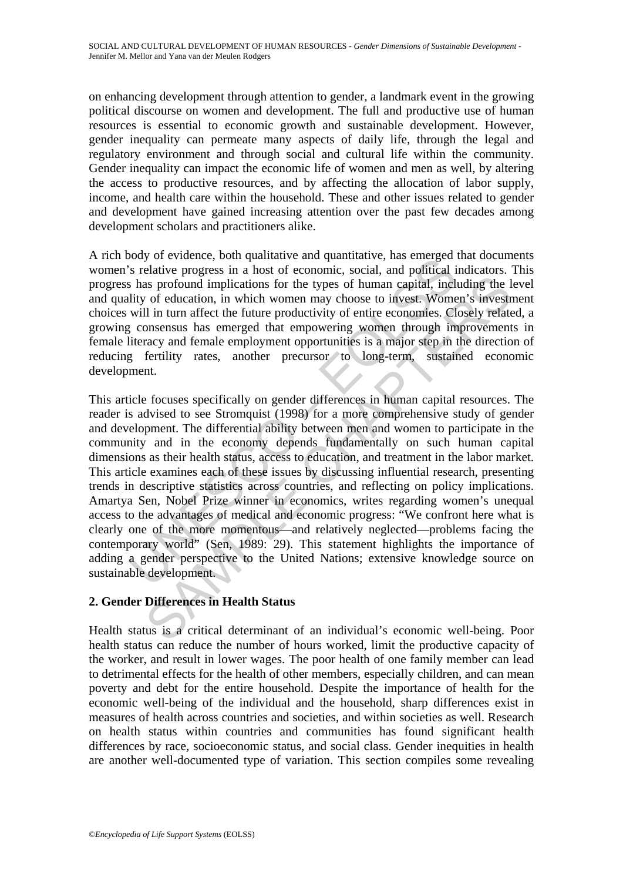on enhancing development through attention to gender, a landmark event in the growing political discourse on women and development. The full and productive use of human resources is essential to economic growth and sustainable development. However, gender inequality can permeate many aspects of daily life, through the legal and regulatory environment and through social and cultural life within the community. Gender inequality can impact the economic life of women and men as well, by altering the access to productive resources, and by affecting the allocation of labor supply, income, and health care within the household. These and other issues related to gender and development have gained increasing attention over the past few decades among development scholars and practitioners alike.

A rich body of evidence, both qualitative and quantitative, has emerged that documents women's relative progress in a host of economic, social, and political indicators. This progress has profound implications for the types of human capital, including the level and quality of education, in which women may choose to invest. Women's investment choices will in turn affect the future productivity of entire economies. Closely related, a growing consensus has emerged that empowering women through improvements in female literacy and female employment opportunities is a major step in the direction of reducing fertility rates, another precursor to long-term, sustained economic development.

body or evidente, bour quantative and quantiturive, its emieged<br>is relative progress in a host of economic, social, and political is has profound implications for the types of human capital, includity of education, in whic as profound implications for the types of human capital, including the 1<br>of education, in which women may choose to invest. Women's invests<br>il in turn affect the future productivity of entire conomies. Closely relations<br>an This article focuses specifically on gender differences in human capital resources. The reader is advised to see Stromquist (1998) for a more comprehensive study of gender and development. The differential ability between men and women to participate in the community and in the economy depends fundamentally on such human capital dimensions as their health status, access to education, and treatment in the labor market. This article examines each of these issues by discussing influential research, presenting trends in descriptive statistics across countries, and reflecting on policy implications. Amartya Sen, Nobel Prize winner in economics, writes regarding women's unequal access to the advantages of medical and economic progress: "We confront here what is clearly one of the more momentous—and relatively neglected—problems facing the contemporary world" (Sen, 1989: 29). This statement highlights the importance of adding a gender perspective to the United Nations; extensive knowledge source on sustainable development.

## **2. Gender Differences in Health Status**

Health status is a critical determinant of an individual's economic well-being. Poor health status can reduce the number of hours worked, limit the productive capacity of the worker, and result in lower wages. The poor health of one family member can lead to detrimental effects for the health of other members, especially children, and can mean poverty and debt for the entire household. Despite the importance of health for the economic well-being of the individual and the household, sharp differences exist in measures of health across countries and societies, and within societies as well. Research on health status within countries and communities has found significant health differences by race, socioeconomic status, and social class. Gender inequities in health are another well-documented type of variation. This section compiles some revealing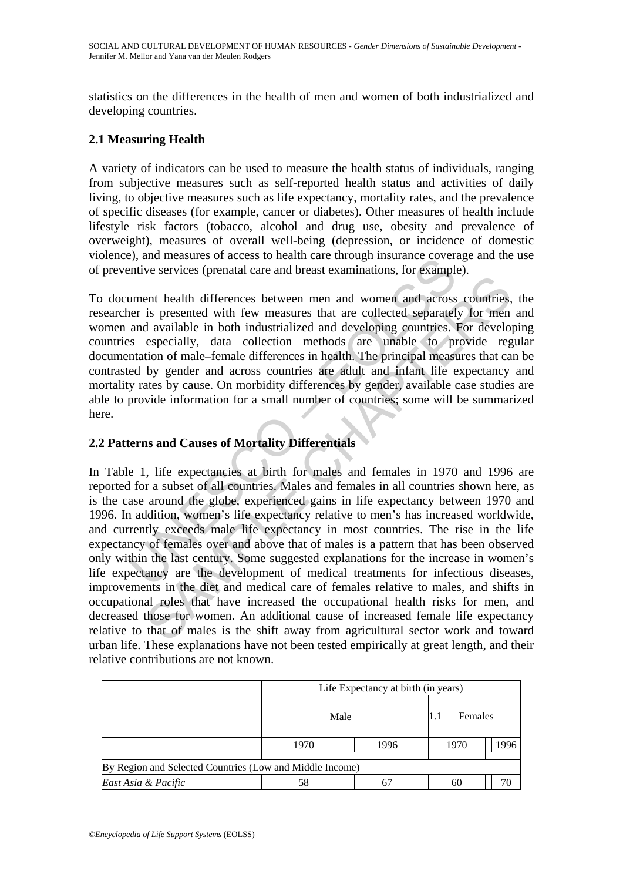statistics on the differences in the health of men and women of both industrialized and developing countries.

### **2.1 Measuring Health**

A variety of indicators can be used to measure the health status of individuals, ranging from subjective measures such as self-reported health status and activities of daily living, to objective measures such as life expectancy, mortality rates, and the prevalence of specific diseases (for example, cancer or diabetes). Other measures of health include lifestyle risk factors (tobacco, alcohol and drug use, obesity and prevalence of overweight), measures of overall well-being (depression, or incidence of domestic violence), and measures of access to health care through insurance coverage and the use of preventive services (prenatal care and breast examinations, for example).

between the alternative series to health care intough insulance coverantive services (prenatal care and breast examinations, for examplement health differences between men and women and acrosser is presented with few measu To document health differences between men and women and across countries, the researcher is presented with few measures that are collected separately for men and women and available in both industrialized and developing countries. For developing countries especially, data collection methods are unable to provide regular documentation of male–female differences in health. The principal measures that can be contrasted by gender and across countries are adult and infant life expectancy and mortality rates by cause. On morbidity differences by gender, available case studies are able to provide information for a small number of countries; some will be summarized here.

## **2.2 Patterns and Causes of Mortality Differentials**

From the latter threme based and sometical sectors of the syncestic state of something and the mass that are collected separately of men<br>is presented with few measures that are collected separately for mence a divalable in In Table 1, life expectancies at birth for males and females in 1970 and 1996 are reported for a subset of all countries. Males and females in all countries shown here, as is the case around the globe, experienced gains in life expectancy between 1970 and 1996. In addition, women's life expectancy relative to men's has increased worldwide, and currently exceeds male life expectancy in most countries. The rise in the life expectancy of females over and above that of males is a pattern that has been observed only within the last century. Some suggested explanations for the increase in women's life expectancy are the development of medical treatments for infectious diseases, improvements in the diet and medical care of females relative to males, and shifts in occupational roles that have increased the occupational health risks for men, and decreased those for women. An additional cause of increased female life expectancy relative to that of males is the shift away from agricultural sector work and toward urban life. These explanations have not been tested empirically at great length, and their relative contributions are not known.

|                                                          | Life Expectancy at birth (in years) |      |         |      |      |
|----------------------------------------------------------|-------------------------------------|------|---------|------|------|
|                                                          | Male                                |      | Females |      |      |
|                                                          | 1970                                | 1996 |         | 1970 | 1996 |
| By Region and Selected Countries (Low and Middle Income) |                                     |      |         |      |      |
| East Asia & Pacific                                      | 58                                  | 6    |         | 60   | 70   |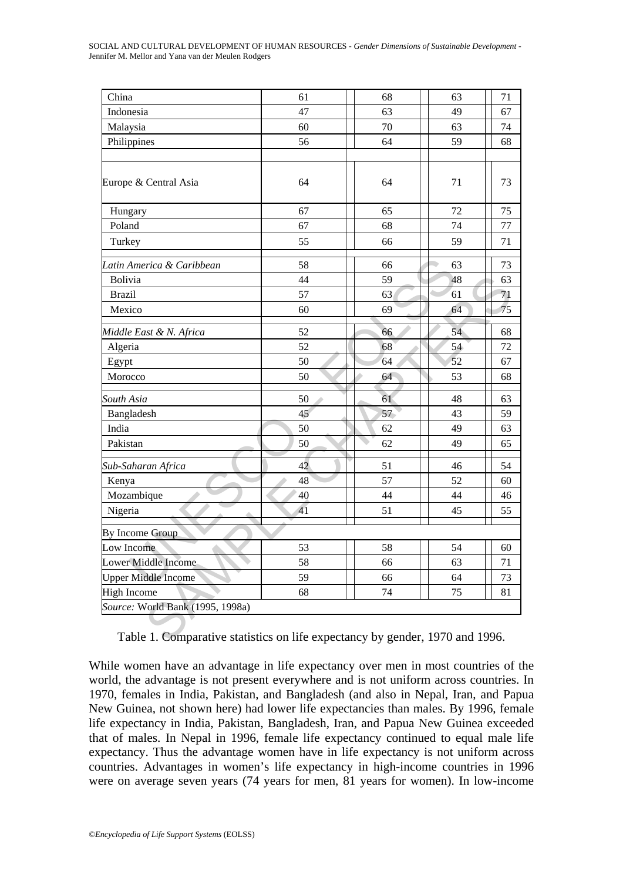| China                            | 61 | 68 | 63 | 71 |
|----------------------------------|----|----|----|----|
| Indonesia                        | 47 | 63 | 49 | 67 |
| Malaysia                         | 60 | 70 | 63 | 74 |
| Philippines                      | 56 | 64 | 59 | 68 |
|                                  |    |    |    |    |
| Europe & Central Asia            | 64 | 64 | 71 | 73 |
| Hungary                          | 67 | 65 | 72 | 75 |
| Poland                           | 67 | 68 | 74 | 77 |
| Turkey                           | 55 | 66 | 59 | 71 |
| Latin America & Caribbean        | 58 | 66 | 63 | 73 |
| Bolivia                          | 44 | 59 | 48 | 63 |
| <b>Brazil</b>                    | 57 | 63 | 61 | 71 |
| Mexico                           | 60 | 69 | 64 | 75 |
| Middle East & N. Africa          | 52 | 66 | 54 | 68 |
| Algeria                          | 52 | 68 | 54 | 72 |
| Egypt                            | 50 | 64 | 52 | 67 |
| Morocco                          | 50 | 64 | 53 | 68 |
| South Asia                       | 50 | 61 | 48 | 63 |
| Bangladesh                       | 45 | 57 | 43 | 59 |
| India                            | 50 | 62 | 49 | 63 |
| Pakistan                         | 50 | 62 | 49 | 65 |
| Sub-Saharan Africa               | 42 | 51 | 46 | 54 |
| Kenya                            | 48 | 57 | 52 | 60 |
| Mozambique                       | 40 | 44 | 44 | 46 |
| Nigeria                          | 41 | 51 | 45 | 55 |
| By Income Group                  |    |    |    |    |
| Low Income                       | 53 | 58 | 54 | 60 |
| Lower Middle Income              | 58 | 66 | 63 | 71 |
| <b>Upper Middle Income</b>       | 59 | 66 | 64 | 73 |
| <b>High Income</b>               | 68 | 74 | 75 | 81 |
| Source: World Bank (1995, 1998a) |    |    |    |    |

While women have an advantage in life expectancy over men in most countries of the world, the advantage is not present everywhere and is not uniform across countries. In 1970, females in India, Pakistan, and Bangladesh (and also in Nepal, Iran, and Papua New Guinea, not shown here) had lower life expectancies than males. By 1996, female life expectancy in India, Pakistan, Bangladesh, Iran, and Papua New Guinea exceeded that of males. In Nepal in 1996, female life expectancy continued to equal male life expectancy. Thus the advantage women have in life expectancy is not uniform across countries. Advantages in women's life expectancy in high-income countries in 1996 were on average seven years (74 years for men, 81 years for women). In low-income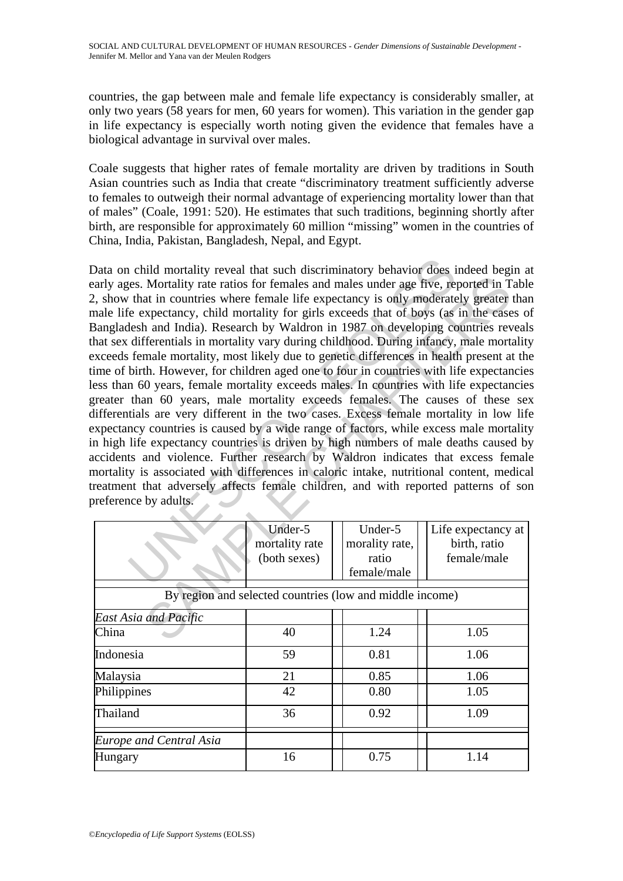countries, the gap between male and female life expectancy is considerably smaller, at only two years (58 years for men, 60 years for women). This variation in the gender gap in life expectancy is especially worth noting given the evidence that females have a biological advantage in survival over males.

Coale suggests that higher rates of female mortality are driven by traditions in South Asian countries such as India that create "discriminatory treatment sufficiently adverse to females to outweigh their normal advantage of experiencing mortality lower than that of males" (Coale, 1991: 520). He estimates that such traditions, beginning shortly after birth, are responsible for approximately 60 million "missing" women in the countries of China, India, Pakistan, Bangladesh, Nepal, and Egypt.

The contract of the model of the morality and the section of the morality rate atios for females and males under age five, report that in countries where female life expectancy is only moderate<br>
ie expectancy, child mortal Mortality rate ratios for females and males under age five, reported in T<br>
at in countries where female life expectancy is only moderately greater<br>
at the case of the seconds that of boys (as in the case<br>
are and India). R Data on child mortality reveal that such discriminatory behavior does indeed begin at early ages. Mortality rate ratios for females and males under age five, reported in Table 2, show that in countries where female life expectancy is only moderately greater than male life expectancy, child mortality for girls exceeds that of boys (as in the cases of Bangladesh and India). Research by Waldron in 1987 on developing countries reveals that sex differentials in mortality vary during childhood. During infancy, male mortality exceeds female mortality, most likely due to genetic differences in health present at the time of birth. However, for children aged one to four in countries with life expectancies less than 60 years, female mortality exceeds males. In countries with life expectancies greater than 60 years, male mortality exceeds females. The causes of these sex differentials are very different in the two cases. Excess female mortality in low life expectancy countries is caused by a wide range of factors, while excess male mortality in high life expectancy countries is driven by high numbers of male deaths caused by accidents and violence. Further research by Waldron indicates that excess female mortality is associated with differences in caloric intake, nutritional content, medical treatment that adversely affects female children, and with reported patterns of son preference by adults.

|                                                          | Under-5        | Under-5        | Life expectancy at |  |  |
|----------------------------------------------------------|----------------|----------------|--------------------|--|--|
|                                                          | mortality rate | morality rate, | birth, ratio       |  |  |
|                                                          | (both sexes)   | ratio          | female/male        |  |  |
|                                                          |                | female/male    |                    |  |  |
|                                                          |                |                |                    |  |  |
| By region and selected countries (low and middle income) |                |                |                    |  |  |
| <b>East Asia and Pacific</b>                             |                |                |                    |  |  |
| China                                                    | 40             | 1.24           | 1.05               |  |  |
| Indonesia                                                | 59             | 0.81           | 1.06               |  |  |
| Malaysia                                                 | 21             | 0.85           | 1.06               |  |  |
| Philippines                                              | 42             | 0.80           | 1.05               |  |  |
| Thailand                                                 | 36             | 0.92           | 1.09               |  |  |
| <b>Europe and Central Asia</b>                           |                |                |                    |  |  |
| Hungary                                                  | 16             | 0.75           | 1.14               |  |  |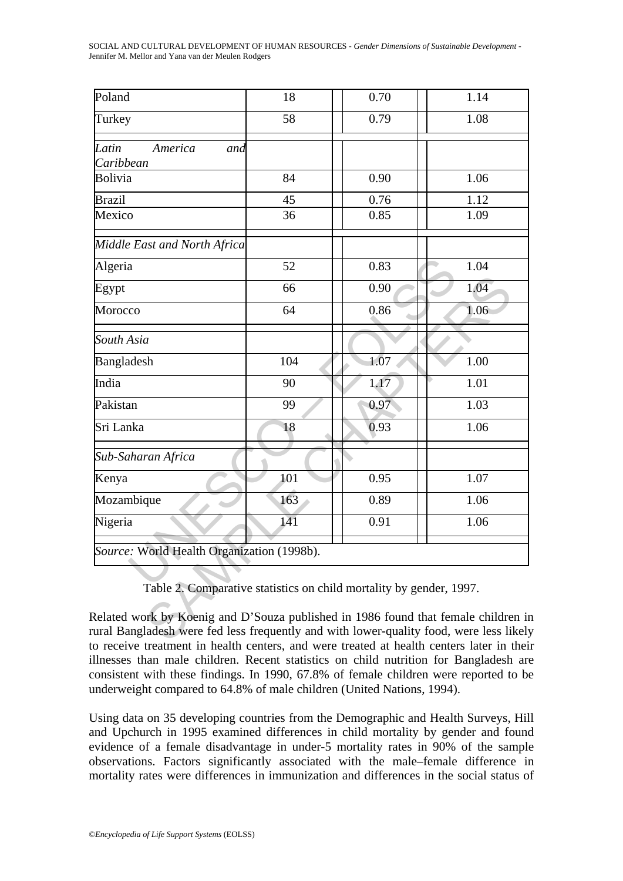SOCIAL AND CULTURAL DEVELOPMENT OF HUMAN RESOURCES - *Gender Dimensions of Sustainable Development* - Jennifer M. Mellor and Yana van der Meulen Rodgers

| Poland                                                                                                                                                                       | 18  | 0.70 | 1.14 |
|------------------------------------------------------------------------------------------------------------------------------------------------------------------------------|-----|------|------|
| Turkey                                                                                                                                                                       | 58  | 0.79 | 1.08 |
| Latin<br>America<br>and<br>Caribbean                                                                                                                                         |     |      |      |
| <b>Bolivia</b>                                                                                                                                                               | 84  | 0.90 | 1.06 |
| <b>Brazil</b>                                                                                                                                                                | 45  | 0.76 | 1.12 |
| Mexico                                                                                                                                                                       | 36  | 0.85 | 1.09 |
| Middle East and North Africa                                                                                                                                                 |     |      |      |
| Algeria                                                                                                                                                                      | 52  | 0.83 | 1.04 |
| Egypt                                                                                                                                                                        | 66  | 0.90 | 1.04 |
| Morocco                                                                                                                                                                      | 64  | 0.86 | 1.06 |
| South Asia                                                                                                                                                                   |     |      |      |
| Bangladesh                                                                                                                                                                   | 104 | 1.07 | 1.00 |
| India                                                                                                                                                                        | 90  | 1.17 | 1.01 |
| Pakistan                                                                                                                                                                     | 99  | 0.97 | 1.03 |
| Sri Lanka                                                                                                                                                                    | 18  | 0.93 | 1.06 |
| Sub-Saharan Africa                                                                                                                                                           |     |      |      |
| Kenya                                                                                                                                                                        | 101 | 0.95 | 1.07 |
| Mozambique                                                                                                                                                                   | 163 | 0.89 | 1.06 |
| Nigeria                                                                                                                                                                      | 141 | 0.91 | 1.06 |
| Source: World Health Organization (1998b).                                                                                                                                   |     |      |      |
| Table 2. Comparative statistics on child mortality by gender, 1997.                                                                                                          |     |      |      |
| Related work by Koenig and D'Souza published in 1986 found that female children in<br>ural Bangladesh were fed less frequently and with lower-quality food, were less likely |     |      |      |

Related work by Koenig and D'Souza published in 1986 found that female children in rural Bangladesh were fed less frequently and with lower-quality food, were less likely to receive treatment in health centers, and were treated at health centers later in their illnesses than male children. Recent statistics on child nutrition for Bangladesh are consistent with these findings. In 1990, 67.8% of female children were reported to be underweight compared to 64.8% of male children (United Nations, 1994).

Using data on 35 developing countries from the Demographic and Health Surveys, Hill and Upchurch in 1995 examined differences in child mortality by gender and found evidence of a female disadvantage in under-5 mortality rates in 90% of the sample observations. Factors significantly associated with the male–female difference in mortality rates were differences in immunization and differences in the social status of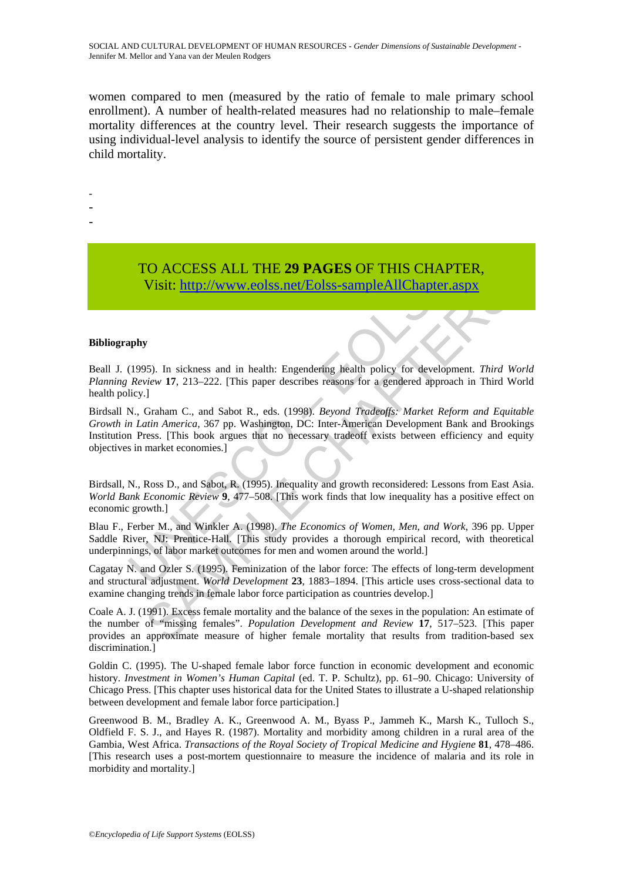women compared to men (measured by the ratio of female to male primary school enrollment). A number of health-related measures had no relationship to male–female mortality differences at the country level. Their research suggests the importance of using individual-level analysis to identify the source of persistent gender differences in child mortality.

-

-

-

# TO ACCESS ALL THE **29 PAGES** OF THIS CHAPTER, Visit: http://www.eolss.net/Eolss-sampleAllChapter.aspx

#### **Bibliography**

Beall J. (1995). In sickness and in health: Engendering health policy for development. *Third World Planning Review* **17**, 213–222. [This paper describes reasons for a gendered approach in Third World health policy.]

TO ACCESS ALL THE 29 PAGES OF THIS CHAPT<br>Visit: http://www.colss.net/Eolss-sampleAllChapter.a<br>pappy<br>(1995). In sickness and in health: Engendering health policy for developm<br>*Review* 17, 213-222. [This paper describes reas **Visit:**  $\frac{1}{2}$ <br> **Visit:**  $\frac{1}{2}$ <br> **Visit:**  $\frac{1}{2}$ <br> **Visit:**  $\frac{1}{2}$ <br> **View 17**, 213-222. [This paper describes reasons for a gendered approach in Third V<br>  $\frac{1}{2}$ <br>  $\frac{1}{2}$ <br>  $\frac{1}{2}$ <br>  $\frac{1}{2}$ <br>  $\frac{1}{2}$ <br> Birdsall N., Graham C., and Sabot R., eds. (1998). *Beyond Tradeoffs: Market Reform and Equitable Growth in Latin America*, 367 pp. Washington, DC: Inter-American Development Bank and Brookings Institution Press. [This book argues that no necessary tradeoff exists between efficiency and equity objectives in market economies.]

Birdsall, N., Ross D., and Sabot, R. (1995). Inequality and growth reconsidered: Lessons from East Asia. *World Bank Economic Review* **9**, 477–508. [This work finds that low inequality has a positive effect on economic growth.]

Blau F., Ferber M., and Winkler A. (1998). *The Economics of Women, Men, and Work*, 396 pp. Upper Saddle River, NJ: Prentice-Hall. [This study provides a thorough empirical record, with theoretical underpinnings, of labor market outcomes for men and women around the world.]

Cagatay N. and Ozler S. (1995). Feminization of the labor force: The effects of long-term development and structural adjustment. *World Development* **23**, 1883–1894. [This article uses cross-sectional data to examine changing trends in female labor force participation as countries develop.]

Coale A. J. (1991). Excess female mortality and the balance of the sexes in the population: An estimate of the number of "missing females". *Population Development and Review* **17**, 517–523. [This paper provides an approximate measure of higher female mortality that results from tradition-based sex discrimination.]

Goldin C. (1995). The U-shaped female labor force function in economic development and economic history. *Investment in Women's Human Capital* (ed. T. P. Schultz), pp. 61–90. Chicago: University of Chicago Press. [This chapter uses historical data for the United States to illustrate a U-shaped relationship between development and female labor force participation.]

Greenwood B. M., Bradley A. K., Greenwood A. M., Byass P., Jammeh K., Marsh K., Tulloch S., Oldfield F. S. J., and Hayes R. (1987). Mortality and morbidity among children in a rural area of the Gambia, West Africa. *Transactions of the Royal Society of Tropical Medicine and Hygiene* **81**, 478–486. [This research uses a post-mortem questionnaire to measure the incidence of malaria and its role in morbidity and mortality.]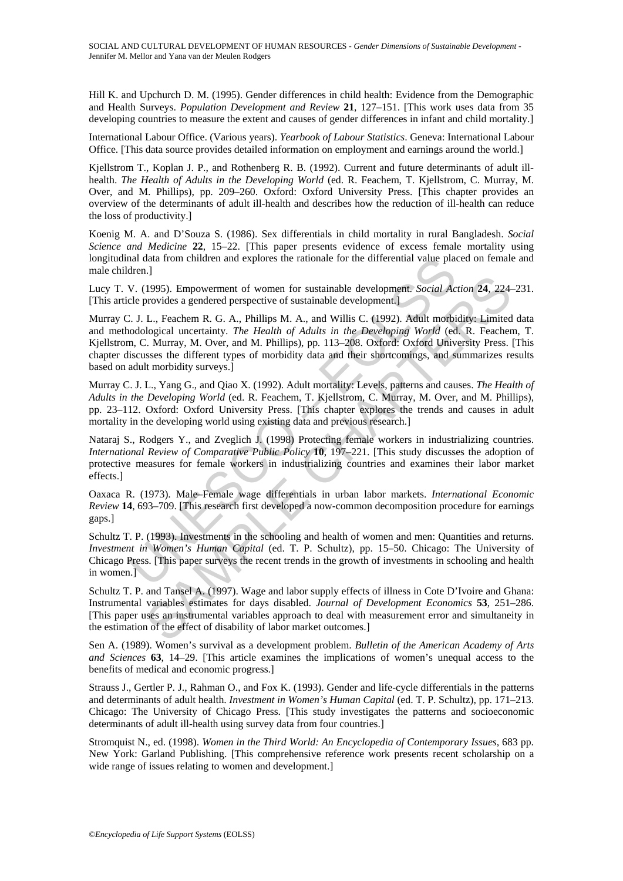Hill K. and Upchurch D. M. (1995). Gender differences in child health: Evidence from the Demographic and Health Surveys. *Population Development and Review* **21**, 127–151. [This work uses data from 35 developing countries to measure the extent and causes of gender differences in infant and child mortality.]

International Labour Office. (Various years). *Yearbook of Labour Statistics*. Geneva: International Labour Office. [This data source provides detailed information on employment and earnings around the world.]

Kjellstrom T., Koplan J. P., and Rothenberg R. B. (1992). Current and future determinants of adult illhealth. *The Health of Adults in the Developing World* (ed. R. Feachem, T. Kjellstrom, C. Murray, M. Over, and M. Phillips), pp. 209–260. Oxford: Oxford University Press. [This chapter provides an overview of the determinants of adult ill-health and describes how the reduction of ill-health can reduce the loss of productivity.]

Koenig M. A. and D'Souza S. (1986). Sex differentials in child mortality in rural Bangladesh. *Social Science and Medicine* **22**, 15–22. [This paper presents evidence of excess female mortality using longitudinal data from children and explores the rationale for the differential value placed on female and male children.]

Lucy T. V. (1995). Empowerment of women for sustainable development. *Social Action* **24**, 224–231. [This article provides a gendered perspective of sustainable development.]

mal data from children and explores the rationale for the differential value place.<br>
U. (1995). Empowerment of women for sustainable development. *Social Ac*.<br>
U. (1995). Empowerment of women for sustainable development. 21995). Empowerment of women for sustainable development. *Social Action* 24, 224<br>provides a gendered perspective of sustainable development.]<br>L., Feachem R. G. A., Phillips M. A., and Willis C. (1992). Adult morbidity: Li Murray C. J. L., Feachem R. G. A., Phillips M. A., and Willis C. (1992). Adult morbidity: Limited data and methodological uncertainty. *The Health of Adults in the Developing World* (ed. R. Feachem, T. Kjellstrom, C. Murray, M. Over, and M. Phillips), pp. 113–208. Oxford: Oxford University Press. [This chapter discusses the different types of morbidity data and their shortcomings, and summarizes results based on adult morbidity surveys.]

Murray C. J. L., Yang G., and Qiao X. (1992). Adult mortality: Levels, patterns and causes. *The Health of Adults in the Developing World* (ed. R. Feachem, T. Kjellstrom, C. Murray, M. Over, and M. Phillips), pp. 23–112. Oxford: Oxford University Press. [This chapter explores the trends and causes in adult mortality in the developing world using existing data and previous research.]

Nataraj S., Rodgers Y., and Zveglich J. (1998) Protecting female workers in industrializing countries. *International Review of Comparative Public Policy* **10**, 197–221. [This study discusses the adoption of protective measures for female workers in industrializing countries and examines their labor market effects.]

Oaxaca R. (1973). Male–Female wage differentials in urban labor markets. *International Economic Review* **14**, 693–709. [This research first developed a now-common decomposition procedure for earnings gaps.]

Schultz T. P. (1993). Investments in the schooling and health of women and men: Quantities and returns. *Investment in Women's Human Capital* (ed. T. P. Schultz), pp. 15–50. Chicago: The University of Chicago Press. [This paper surveys the recent trends in the growth of investments in schooling and health in women.]

Schultz T. P. and Tansel A. (1997). Wage and labor supply effects of illness in Cote D'Ivoire and Ghana: Instrumental variables estimates for days disabled. *Journal of Development Economics* **53**, 251–286. [This paper uses an instrumental variables approach to deal with measurement error and simultaneity in the estimation of the effect of disability of labor market outcomes.]

Sen A. (1989). Women's survival as a development problem. *Bulletin of the American Academy of Arts and Sciences* **63**, 14–29. [This article examines the implications of women's unequal access to the benefits of medical and economic progress.]

Strauss J., Gertler P. J., Rahman O., and Fox K. (1993). Gender and life-cycle differentials in the patterns and determinants of adult health. *Investment in Women's Human Capital* (ed. T. P. Schultz), pp. 171–213. Chicago: The University of Chicago Press. [This study investigates the patterns and socioeconomic determinants of adult ill-health using survey data from four countries.]

Stromquist N., ed. (1998). *Women in the Third World: An Encyclopedia of Contemporary Issues*, 683 pp. New York: Garland Publishing. [This comprehensive reference work presents recent scholarship on a wide range of issues relating to women and development.]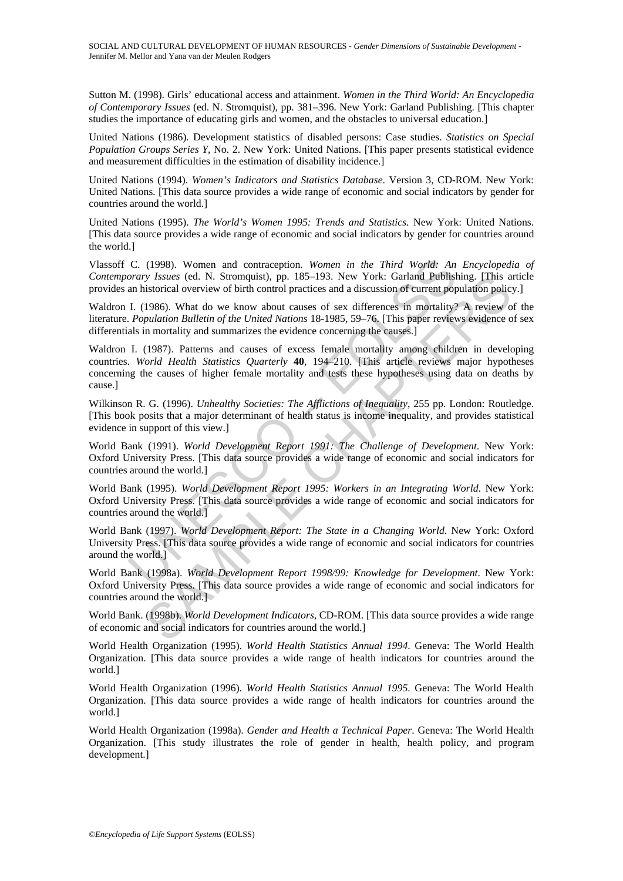Sutton M. (1998). Girls' educational access and attainment. *Women in the Third World: An Encyclopedia of Contemporary Issues* (ed. N. Stromquist), pp. 381–396. New York: Garland Publishing. [This chapter studies the importance of educating girls and women, and the obstacles to universal education.]

United Nations (1986). Development statistics of disabled persons: Case studies. *Statistics on Special Population Groups Series Y*, No. 2. New York: United Nations. [This paper presents statistical evidence and measurement difficulties in the estimation of disability incidence.]

United Nations (1994). *Women's Indicators and Statistics Database*. Version 3, CD-ROM. New York: United Nations. [This data source provides a wide range of economic and social indicators by gender for countries around the world.]

United Nations (1995). *The World's Women 1995: Trends and Statistics*. New York: United Nations. [This data source provides a wide range of economic and social indicators by gender for countries around the world.]

Vlassoff C. (1998). Women and contraception. *Women in the Third World: An Encyclopedia of Contemporary Issues* (ed. N. Stromquist), pp. 185–193. New York: Garland Publishing. [This article provides an historical overview of birth control practices and a discussion of current population policy.]

Waldron I. (1986). What do we know about causes of sex differences in mortality? A review of the literature. *Population Bulletin of the United Nations* 18-1985, 59–76. [This paper reviews evidence of sex differentials in mortality and summarizes the evidence concerning the causes.]

C. (1998). Women and contraception. Women in the Third World: An<br>orary Issues (ed. N. Stromquist), pp. 185–193. New York: Garland Publish<br>an historical overview of birth control practices and a discussion of current pop<br>I. *y Issues* (ed. N. Stromquist), pp. 185-193. New York: Garland **Publishing**, [This a<br>istorical overview of birth control practices and a discussion of current population polic<br>1986). What do we know about causes of sex di Waldron I. (1987). Patterns and causes of excess female mortality among children in developing countries. *World Health Statistics Quarterly* **40**, 194–210. [This article reviews major hypotheses concerning the causes of higher female mortality and tests these hypotheses using data on deaths by cause.]

Wilkinson R. G. (1996). *Unhealthy Societies: The Afflictions of Inequality*, 255 pp. London: Routledge. [This book posits that a major determinant of health status is income inequality, and provides statistical evidence in support of this view.]

World Bank (1991). *World Development Report 1991: The Challenge of Development*. New York: Oxford University Press. [This data source provides a wide range of economic and social indicators for countries around the world.]

World Bank (1995). *World Development Report 1995: Workers in an Integrating World*. New York: Oxford University Press. [This data source provides a wide range of economic and social indicators for countries around the world.]

World Bank (1997). *World Development Report: The State in a Changing World*. New York: Oxford University Press. [This data source provides a wide range of economic and social indicators for countries around the world.]

World Bank (1998a). *World Development Report 1998/99: Knowledge for Development*. New York: Oxford University Press. [This data source provides a wide range of economic and social indicators for countries around the world.]

World Bank. (1998b). *World Development Indicators*, CD-ROM. [This data source provides a wide range of economic and social indicators for countries around the world.]

World Health Organization (1995). *World Health Statistics Annual 1994*. Geneva: The World Health Organization. [This data source provides a wide range of health indicators for countries around the world.]

World Health Organization (1996). *World Health Statistics Annual 1995*. Geneva: The World Health Organization. [This data source provides a wide range of health indicators for countries around the world.]

World Health Organization (1998a). *Gender and Health a Technical Paper*. Geneva: The World Health Organization. [This study illustrates the role of gender in health, health policy, and program development.]